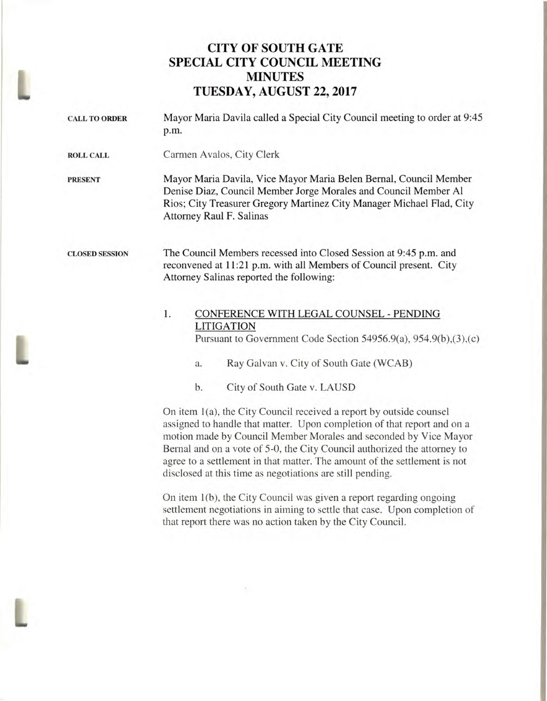## **CITY OF SOUTH GATE SPECIAL CITY COUNCIL MEETING MINUTES TUESDAY, AUGUST 22, 2017**

| <b>CALL TO ORDER</b>  | Mayor Maria Davila called a Special City Council meeting to order at 9:45<br>p.m.                                                                                                                                                         |
|-----------------------|-------------------------------------------------------------------------------------------------------------------------------------------------------------------------------------------------------------------------------------------|
| <b>ROLL CALL</b>      | Carmen Avalos, City Clerk                                                                                                                                                                                                                 |
| <b>PRESENT</b>        | Mayor Maria Davila, Vice Mayor Maria Belen Bernal, Council Member<br>Denise Diaz, Council Member Jorge Morales and Council Member Al<br>Rios; City Treasurer Gregory Martinez City Manager Michael Flad, City<br>Attorney Raul F. Salinas |
| <b>CLOSED SESSION</b> | The Council Members recessed into Closed Session at 9:45 p.m. and<br>reconvened at 11:21 p.m. with all Members of Council present. City<br>Attorney Salinas reported the following:                                                       |
|                       | 1.<br>CONFERENCE WITH LEGAL COUNSEL - PENDING<br><b>LITIGATION</b><br>Pursuant to Government Code Section 54956.9(a), 954.9(b), $(3)$ , $(c)$<br>Ray Galvan v. City of South Gate (WCAB)<br>a.<br>b.<br>City of South Gate v. LAUSD       |
|                       | On item 1(a), the City Council received a report by outside counsel                                                                                                                                                                       |

assigned to handle that matter. Upon completion of that report and on a motion made by Council Member Morales and seconded by Vice Mayor Bernal and on a vote of 5-0, the City Council authorized the attorney to agree to a settlement in that matter. The amount of the settlement is not disclosed at this time as negotiations are still pending.

On item 1(b), the City Council was given a report regarding ongoing settlement negotiations in aiming to settle that case. Upon completion of that report there was no action taken by the City Council.

x